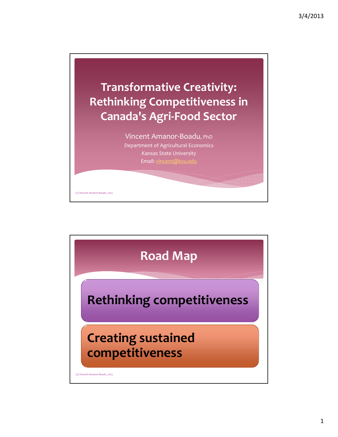

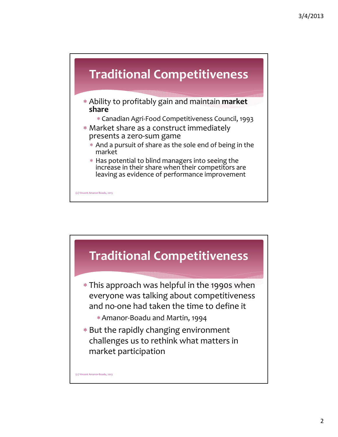

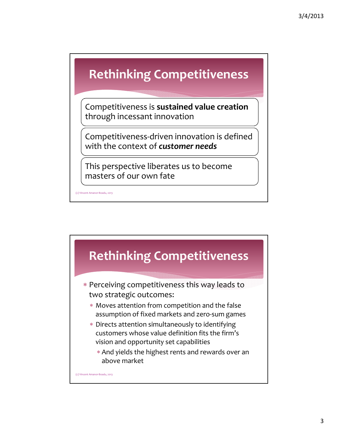## **Rethinking Competitiveness**

Competitiveness is **sustained value creation** through incessant innovation

Competitiveness‐driven innovation is defined with the context of *customer needs*

This perspective liberates us to become masters of our own fate

(c) Vincent Amanor‐Boadu, 2013

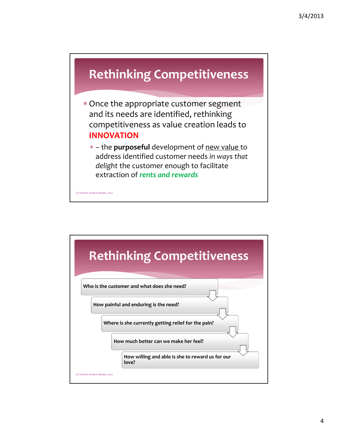

- Once the appropriate customer segment and its needs are identified, rethinking competitiveness as value creation leads to **INNOVATION**
	- the **purposeful** development of new value to address identified customer needs *in ways that delight* the customer enough to facilitate extraction of *rents and rewards*

(c) Vincent Amanor‐Boadu, 2013

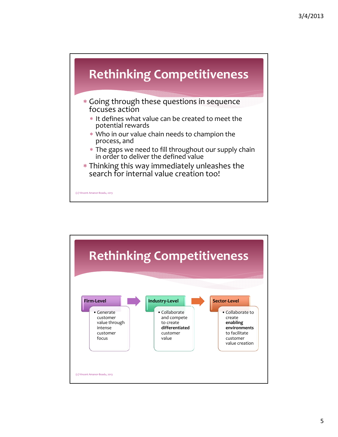

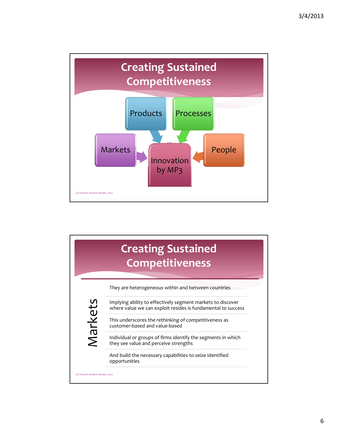

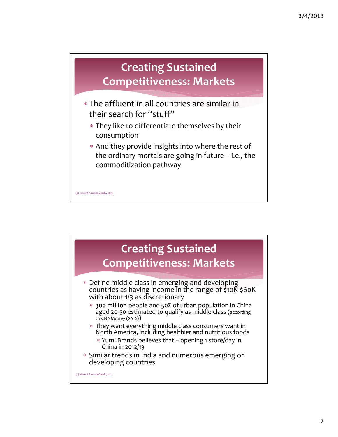

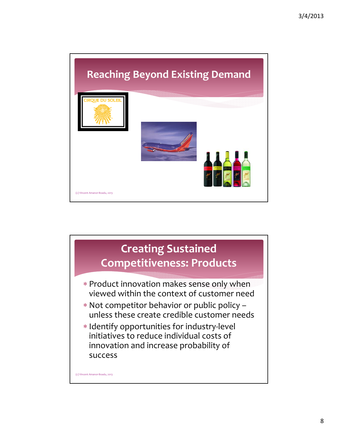

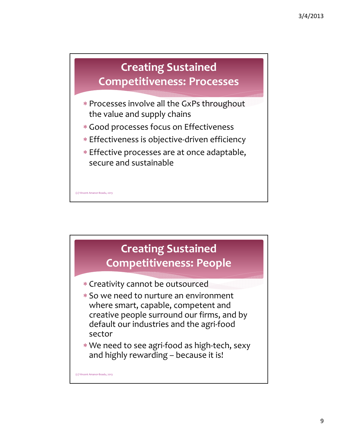

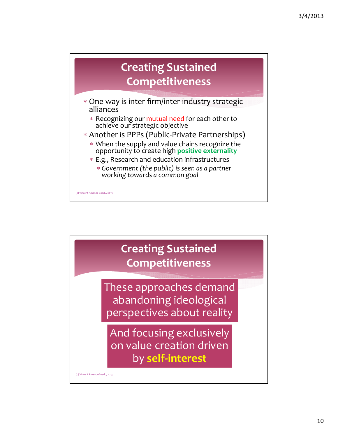

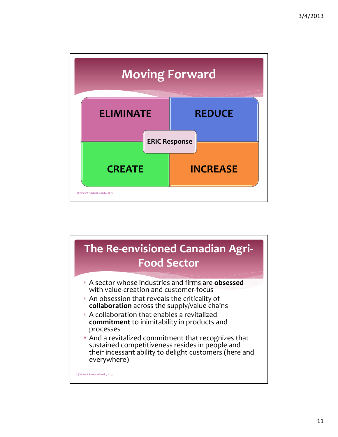

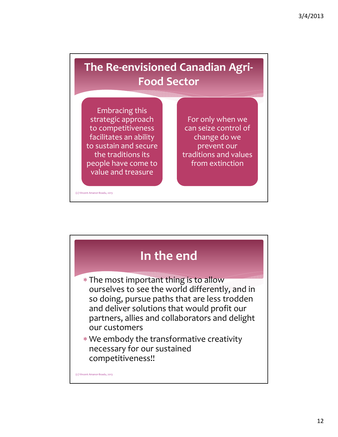## **The Re‐envisioned Canadian Agri‐ Food Sector**

Embracing this strategic approach to competitiveness facilitates an ability to sustain and secure the traditions its people have come to value and treasure

For only when we can seize control of change do we prevent our traditions and values from extinction

(c) Vincent Amanor‐Boadu, 2013